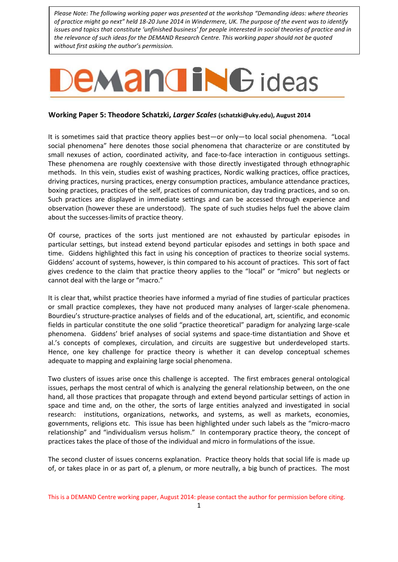*Please Note: The following working paper was presented at the workshop "Demanding ideas: where theories of practice might go next" held 18-20 June 2014 in Windermere, UK. The purpose of the event was to identify issues and topics that constitute 'unfinished business' for people interested in social theories of practice and in the relevance of such ideas for the DEMAND Research Centre. This working paper should not be quoted without first asking the author's permission.*

## **EMANGING** ideas

## **Working Paper 5: Theodore Schatzki,** *Larger Scales* **[\(schatzki@uky.edu\)](mailto:schatzki@uky.edu), August 2014**

It is sometimes said that practice theory applies best—or only—to local social phenomena. "Local social phenomena" here denotes those social phenomena that characterize or are constituted by small nexuses of action, coordinated activity, and face-to-face interaction in contiguous settings. These phenomena are roughly coextensive with those directly investigated through ethnographic methods. In this vein, studies exist of washing practices, Nordic walking practices, office practices, driving practices, nursing practices, energy consumption practices, ambulance attendance practices, boxing practices, practices of the self, practices of communication, day trading practices, and so on. Such practices are displayed in immediate settings and can be accessed through experience and observation (however these are understood). The spate of such studies helps fuel the above claim about the successes-limits of practice theory.

Of course, practices of the sorts just mentioned are not exhausted by particular episodes in particular settings, but instead extend beyond particular episodes and settings in both space and time. Giddens highlighted this fact in using his conception of practices to theorize social systems. Giddens' account of systems, however, is thin compared to his account of practices. This sort of fact gives credence to the claim that practice theory applies to the "local" or "micro" but neglects or cannot deal with the large or "macro."

It is clear that, whilst practice theories have informed a myriad of fine studies of particular practices or small practice complexes, they have not produced many analyses of larger-scale phenomena. Bourdieu's structure-practice analyses of fields and of the educational, art, scientific, and economic fields in particular constitute the one solid "practice theoretical" paradigm for analyzing large-scale phenomena. Giddens' brief analyses of social systems and space-time distantiation and Shove et al.'s concepts of complexes, circulation, and circuits are suggestive but underdeveloped starts. Hence, one key challenge for practice theory is whether it can develop conceptual schemes adequate to mapping and explaining large social phenomena.

Two clusters of issues arise once this challenge is accepted. The first embraces general ontological issues, perhaps the most central of which is analyzing the general relationship between, on the one hand, all those practices that propagate through and extend beyond particular settings of action in space and time and, on the other, the sorts of large entities analyzed and investigated in social research: institutions, organizations, networks, and systems, as well as markets, economies, governments, religions etc. This issue has been highlighted under such labels as the "micro-macro relationship" and "individualism versus holism." In contemporary practice theory, the concept of practices takes the place of those of the individual and micro in formulations of the issue.

The second cluster of issues concerns explanation. Practice theory holds that social life is made up of, or takes place in or as part of, a plenum, or more neutrally, a big bunch of practices. The most

This is a DEMAND Centre working paper, August 2014: please contact the author for permission before citing.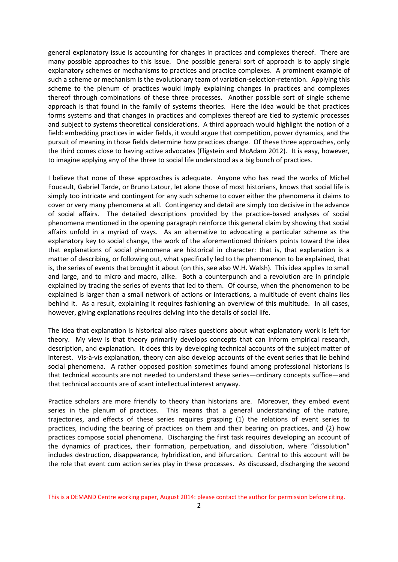general explanatory issue is accounting for changes in practices and complexes thereof. There are many possible approaches to this issue. One possible general sort of approach is to apply single explanatory schemes or mechanisms to practices and practice complexes. A prominent example of such a scheme or mechanism is the evolutionary team of variation-selection-retention. Applying this scheme to the plenum of practices would imply explaining changes in practices and complexes thereof through combinations of these three processes. Another possible sort of single scheme approach is that found in the family of systems theories. Here the idea would be that practices forms systems and that changes in practices and complexes thereof are tied to systemic processes and subject to systems theoretical considerations. A third approach would highlight the notion of a field: embedding practices in wider fields, it would argue that competition, power dynamics, and the pursuit of meaning in those fields determine how practices change. Of these three approaches, only the third comes close to having active advocates (Fligstein and McAdam 2012). It is easy, however, to imagine applying any of the three to social life understood as a big bunch of practices.

I believe that none of these approaches is adequate. Anyone who has read the works of Michel Foucault, Gabriel Tarde, or Bruno Latour, let alone those of most historians, knows that social life is simply too intricate and contingent for any such scheme to cover either the phenomena it claims to cover or very many phenomena at all. Contingency and detail are simply too decisive in the advance of social affairs. The detailed descriptions provided by the practice-based analyses of social phenomena mentioned in the opening paragraph reinforce this general claim by showing that social affairs unfold in a myriad of ways. As an alternative to advocating a particular scheme as the explanatory key to social change, the work of the aforementioned thinkers points toward the idea that explanations of social phenomena are historical in character: that is, that explanation is a matter of describing, or following out, what specifically led to the phenomenon to be explained, that is, the series of events that brought it about (on this, see also W.H. Walsh). This idea applies to small and large, and to micro and macro, alike. Both a counterpunch and a revolution are in principle explained by tracing the series of events that led to them. Of course, when the phenomenon to be explained is larger than a small network of actions or interactions, a multitude of event chains lies behind it. As a result, explaining it requires fashioning an overview of this multitude. In all cases, however, giving explanations requires delving into the details of social life.

The idea that explanation Is historical also raises questions about what explanatory work is left for theory. My view is that theory primarily develops concepts that can inform empirical research, description, and explanation. It does this by developing technical accounts of the subject matter of interest. Vis-à-vis explanation, theory can also develop accounts of the event series that lie behind social phenomena. A rather opposed position sometimes found among professional historians is that technical accounts are not needed to understand these series—ordinary concepts suffice—and that technical accounts are of scant intellectual interest anyway.

Practice scholars are more friendly to theory than historians are. Moreover, they embed event series in the plenum of practices. This means that a general understanding of the nature, trajectories, and effects of these series requires grasping (1) the relations of event series to practices, including the bearing of practices on them and their bearing on practices, and (2) how practices compose social phenomena. Discharging the first task requires developing an account of the dynamics of practices, their formation, perpetuation, and dissolution, where "dissolution" includes destruction, disappearance, hybridization, and bifurcation. Central to this account will be the role that event cum action series play in these processes. As discussed, discharging the second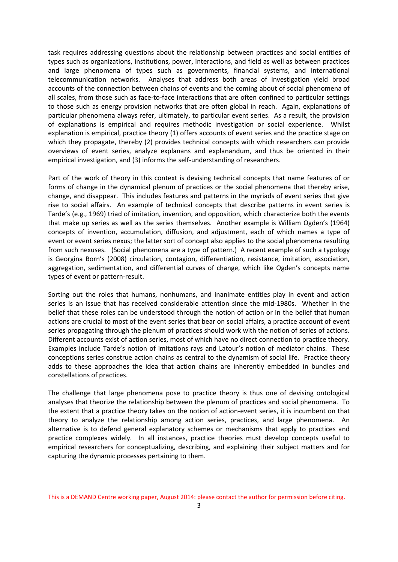task requires addressing questions about the relationship between practices and social entities of types such as organizations, institutions, power, interactions, and field as well as between practices and large phenomena of types such as governments, financial systems, and international telecommunication networks. Analyses that address both areas of investigation yield broad accounts of the connection between chains of events and the coming about of social phenomena of all scales, from those such as face-to-face interactions that are often confined to particular settings to those such as energy provision networks that are often global in reach. Again, explanations of particular phenomena always refer, ultimately, to particular event series. As a result, the provision of explanations is empirical and requires methodic investigation or social experience. Whilst explanation is empirical, practice theory (1) offers accounts of event series and the practice stage on which they propagate, thereby (2) provides technical concepts with which researchers can provide overviews of event series, analyze explanans and explanandum, and thus be oriented in their empirical investigation, and (3) informs the self-understanding of researchers.

Part of the work of theory in this context is devising technical concepts that name features of or forms of change in the dynamical plenum of practices or the social phenomena that thereby arise, change, and disappear. This includes features and patterns in the myriads of event series that give rise to social affairs. An example of technical concepts that describe patterns in event series is Tarde's (e.g., 1969) triad of imitation, invention, and opposition, which characterize both the events that make up series as well as the series themselves. Another example is William Ogden's (1964) concepts of invention, accumulation, diffusion, and adjustment, each of which names a type of event or event series nexus; the latter sort of concept also applies to the social phenomena resulting from such nexuses. (Social phenomena are a type of pattern.) A recent example of such a typology is Georgina Born's (2008) circulation, contagion, differentiation, resistance, imitation, association, aggregation, sedimentation, and differential curves of change, which like Ogden's concepts name types of event or pattern-result.

Sorting out the roles that humans, nonhumans, and inanimate entities play in event and action series is an issue that has received considerable attention since the mid-1980s. Whether in the belief that these roles can be understood through the notion of action or in the belief that human actions are crucial to most of the event series that bear on social affairs, a practice account of event series propagating through the plenum of practices should work with the notion of series of actions. Different accounts exist of action series, most of which have no direct connection to practice theory. Examples include Tarde's notion of imitations rays and Latour's notion of mediator chains. These conceptions series construe action chains as central to the dynamism of social life. Practice theory adds to these approaches the idea that action chains are inherently embedded in bundles and constellations of practices.

The challenge that large phenomena pose to practice theory is thus one of devising ontological analyses that theorize the relationship between the plenum of practices and social phenomena. To the extent that a practice theory takes on the notion of action-event series, it is incumbent on that theory to analyze the relationship among action series, practices, and large phenomena. An alternative is to defend general explanatory schemes or mechanisms that apply to practices and practice complexes widely. In all instances, practice theories must develop concepts useful to empirical researchers for conceptualizing, describing, and explaining their subject matters and for capturing the dynamic processes pertaining to them.